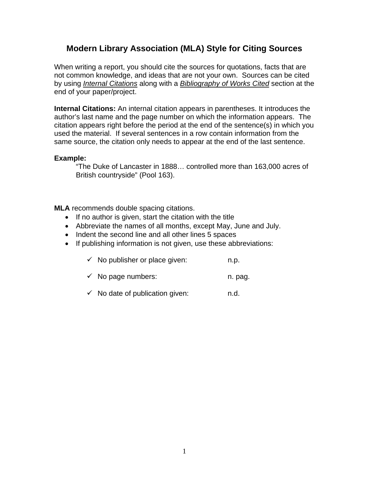## **Modern Library Association (MLA) Style for Citing Sources**

When writing a report, you should cite the sources for quotations, facts that are not common knowledge, and ideas that are not your own. Sources can be cited by using *Internal Citations* along with a *Bibliography of Works Cited* section at the end of your paper/project.

**Internal Citations:** An internal citation appears in parentheses. It introduces the author's last name and the page number on which the information appears. The citation appears right before the period at the end of the sentence(s) in which you used the material. If several sentences in a row contain information from the same source, the citation only needs to appear at the end of the last sentence.

#### **Example:**

"The Duke of Lancaster in 1888… controlled more than 163,000 acres of British countryside" (Pool 163).

**MLA** recommends double spacing citations.

- If no author is given, start the citation with the title
- Abbreviate the names of all months, except May, June and July.
- Indent the second line and all other lines 5 spaces
- If publishing information is not given, use these abbreviations:
	- $\checkmark$  No publisher or place given: n.p.
	- $\checkmark$  No page numbers: n. pag.
	- $\checkmark$  No date of publication given: n.d.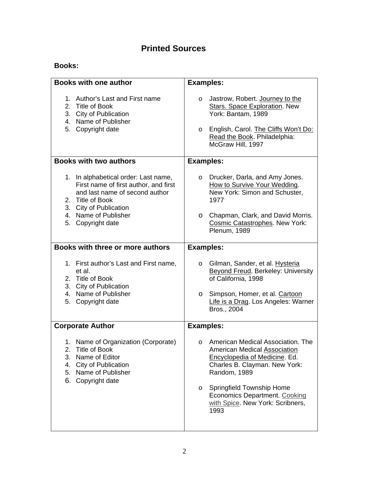## **Printed Sources**

### **Books:**

| <b>Books with one author</b>                                                                                                                                                                               | <b>Examples:</b>                                                                                                                                                                                                                                                                                  |
|------------------------------------------------------------------------------------------------------------------------------------------------------------------------------------------------------------|---------------------------------------------------------------------------------------------------------------------------------------------------------------------------------------------------------------------------------------------------------------------------------------------------|
| 1. Author's Last and First name<br>2. Title of Book<br>3. City of Publication<br>4. Name of Publisher<br>5. Copyright date                                                                                 | Jastrow, Robert. Journey to the<br>$\circ$<br><b>Stars. Space Exploration. New</b><br>York: Bantam, 1989<br>English, Carol. The Cliffs Won't Do:<br>$\circ$<br>Read the Book. Philadelphia:<br>McGraw Hill, 1997                                                                                  |
| <b>Books with two authors</b>                                                                                                                                                                              | <b>Examples:</b>                                                                                                                                                                                                                                                                                  |
| 1. In alphabetical order: Last name,<br>First name of first author, and first<br>and last name of second author<br>2. Title of Book<br>3. City of Publication<br>4. Name of Publisher<br>5. Copyright date | Drucker, Darla, and Amy Jones.<br>$\circ$<br>How to Survive Your Wedding.<br>New York: Simon and Schuster,<br>1977<br>Chapman, Clark, and David Morris.<br>$\circ$<br><b>Cosmic Catastrophes. New York:</b><br>Plenum, 1989                                                                       |
| Books with three or more authors                                                                                                                                                                           | <b>Examples:</b>                                                                                                                                                                                                                                                                                  |
| 1. First author's Last and First name,<br>et al.<br>2. Title of Book<br>3. City of Publication<br>4. Name of Publisher<br>5. Copyright date                                                                | Gilman, Sander, et al. Hysteria<br>O<br><b>Beyond Freud. Berkeley: University</b><br>of California, 1998<br>Simpson, Homer, et al. Cartoon<br>$\circ$<br>Life is a Drag. Los Angeles: Warner<br>Bros., 2004                                                                                       |
| <b>Corporate Author</b>                                                                                                                                                                                    | <b>Examples:</b>                                                                                                                                                                                                                                                                                  |
| 1. Name of Organization (Corporate)<br>2.<br><b>Title of Book</b><br>3. Name of Editor<br>4. City of Publication<br>5. Name of Publisher<br>6. Copyright date                                              | American Medical Association. The<br>$\circ$<br><b>American Medical Association</b><br>Encyclopedia of Medicine. Ed.<br>Charles B. Clayman. New York:<br>Random, 1989<br><b>Springfield Township Home</b><br>$\circ$<br>Economics Department. Cooking<br>with Spice. New York: Scribners,<br>1993 |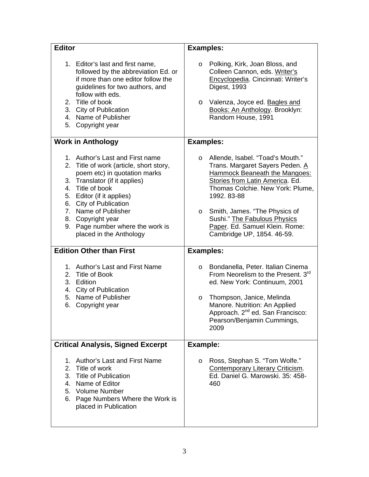| <b>Editor</b>                                                                                                                                                                                                                                                                                                                      | <b>Examples:</b>                                                                                                                                                                                                                                                                                                                                         |
|------------------------------------------------------------------------------------------------------------------------------------------------------------------------------------------------------------------------------------------------------------------------------------------------------------------------------------|----------------------------------------------------------------------------------------------------------------------------------------------------------------------------------------------------------------------------------------------------------------------------------------------------------------------------------------------------------|
| 1. Editor's last and first name,<br>followed by the abbreviation Ed. or<br>if more than one editor follow the<br>guidelines for two authors, and<br>follow with eds.<br>2. Title of book<br>3. City of Publication<br>4. Name of Publisher<br>5. Copyright year                                                                    | Polking, Kirk, Joan Bloss, and<br>$\circ$<br>Colleen Cannon, eds. Writer's<br>Encyclopedia. Cincinnati: Writer's<br>Digest, 1993<br>Valenza, Joyce ed. Bagles and<br>$\circ$<br>Books: An Anthology. Brooklyn:<br>Random House, 1991                                                                                                                     |
| <b>Work in Anthology</b>                                                                                                                                                                                                                                                                                                           | <b>Examples:</b>                                                                                                                                                                                                                                                                                                                                         |
| 1. Author's Last and First name<br>2. Title of work (article, short story,<br>poem etc) in quotation marks<br>3. Translator (if it applies)<br>4. Title of book<br>5. Editor (if it applies)<br>6. City of Publication<br>7. Name of Publisher<br>8. Copyright year<br>9. Page number where the work is<br>placed in the Anthology | Allende, Isabel. "Toad's Mouth."<br>$\circ$<br>Trans. Margaret Sayers Peden. A<br><b>Hammock Beaneath the Mangoes:</b><br>Stories from Latin America. Ed.<br>Thomas Colchie. New York: Plume,<br>1992. 83-88<br>Smith, James. "The Physics of<br>$\circ$<br>Sushi." The Fabulous Physics<br>Paper. Ed. Samuel Klein. Rome:<br>Cambridge UP, 1854. 46-59. |
| <b>Edition Other than First</b>                                                                                                                                                                                                                                                                                                    | <b>Examples:</b>                                                                                                                                                                                                                                                                                                                                         |
| 1. Author's Last and First Name<br>2. Title of Book<br>3. Edition<br>4. City of Publication<br>5. Name of Publisher<br>6. Copyright year                                                                                                                                                                                           | Bondanella, Peter. Italian Cinema<br>O<br>From Neorelism to the Present. 3 <sup>rd</sup><br>ed. New York: Continuum, 2001<br>Thompson, Janice, Melinda<br>O<br>Manore. Nutrition: An Applied<br>Approach. 2 <sup>nd</sup> ed. San Francisco:<br>Pearson/Benjamin Cummings,<br>2009                                                                       |
| <b>Critical Analysis, Signed Excerpt</b>                                                                                                                                                                                                                                                                                           | Example:                                                                                                                                                                                                                                                                                                                                                 |
| 1. Author's Last and First Name<br>Title of work<br>2.<br>3. Title of Publication<br>4. Name of Editor<br>5. Volume Number<br>6. Page Numbers Where the Work is<br>placed in Publication                                                                                                                                           | Ross, Stephan S. "Tom Wolfe."<br>$\circ$<br><b>Contemporary Literary Criticism.</b><br>Ed. Daniel G. Marowski, 35: 458-<br>460                                                                                                                                                                                                                           |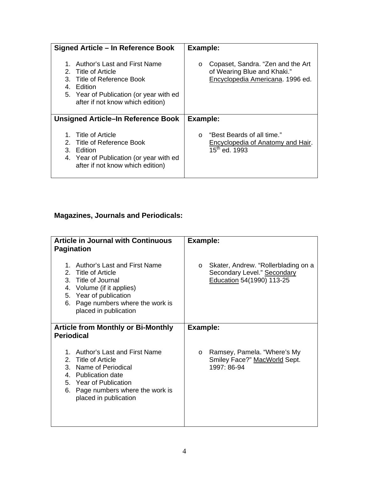| Signed Article – In Reference Book                                                                                                                                             | Example:                                                                                                        |
|--------------------------------------------------------------------------------------------------------------------------------------------------------------------------------|-----------------------------------------------------------------------------------------------------------------|
| Author's Last and First Name<br>2. Title of Article<br>3. Title of Reference Book<br>4. Edition<br>5. Year of Publication (or year with ed<br>after if not know which edition) | Copaset, Sandra. "Zen and the Art<br>$\circ$<br>of Wearing Blue and Khaki."<br>Encyclopedia Americana. 1996 ed. |
| Unsigned Article–In Reference Book                                                                                                                                             | Example:                                                                                                        |
| 1. Title of Article<br>2. Title of Reference Book<br>3. Edition<br>4. Year of Publication (or year with ed<br>after if not know which edition)                                 | "Best Beards of all time."<br>$\Omega$<br><b>Encyclopedia of Anatomy and Hair.</b><br>15 <sup>th</sup> ed. 1993 |

# **Magazines, Journals and Periodicals:**

| <b>Article in Journal with Continuous</b><br><b>Pagination</b><br>Author's Last and First Name<br>1.                                                                                        | Example:<br>Skater, Andrew. "Rollerblading on a<br>$\circ$                            |
|---------------------------------------------------------------------------------------------------------------------------------------------------------------------------------------------|---------------------------------------------------------------------------------------|
| 2. Title of Article<br>3. Title of Journal<br>4. Volume (if it applies)<br>5. Year of publication<br>6. Page numbers where the work is<br>placed in publication                             | Secondary Level." Secondary<br>Education 54(1990) 113-25                              |
| <b>Article from Monthly or Bi-Monthly</b><br><b>Periodical</b>                                                                                                                              | Example:                                                                              |
| Author's Last and First Name<br>2. Title of Article<br>3. Name of Periodical<br>4. Publication date<br>5. Year of Publication<br>6. Page numbers where the work is<br>placed in publication | Ramsey, Pamela. "Where's My<br>$\circ$<br>Smiley Face?" MacWorld Sept.<br>1997: 86-94 |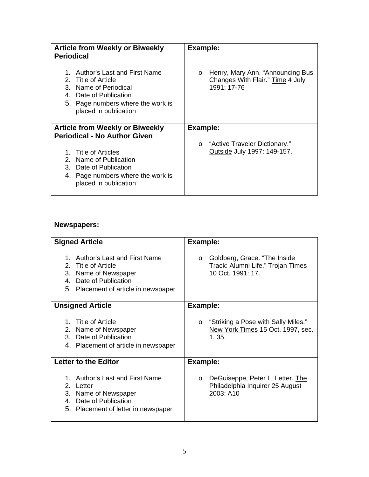| <b>Article from Weekly or Biweekly</b><br><b>Periodical</b>                                                                                                                | Example:                                                                                       |
|----------------------------------------------------------------------------------------------------------------------------------------------------------------------------|------------------------------------------------------------------------------------------------|
| Author's Last and First Name<br>1.<br>2. Title of Article<br>3. Name of Periodical<br>4. Date of Publication<br>5. Page numbers where the work is<br>placed in publication | Henry, Mary Ann. "Announcing Bus<br>$\circ$<br>Changes With Flair." Time 4 July<br>1991: 17-76 |
| <b>Article from Weekly or Biweekly</b>                                                                                                                                     | Example:                                                                                       |
| <b>Periodical - No Author Given</b>                                                                                                                                        |                                                                                                |
| 1. Title of Articles<br>2. Name of Publication<br>3. Date of Publication<br>4. Page numbers where the work is<br>placed in publication                                     | "Active Traveler Dictionary."<br>$\circ$<br>Outside July 1997: 149-157.                        |

## **Newspapers:**

| <b>Signed Article</b>                                                                                                                               | Example:                                                                                          |
|-----------------------------------------------------------------------------------------------------------------------------------------------------|---------------------------------------------------------------------------------------------------|
| Author's Last and First Name<br>1.<br>2. Title of Article<br>3. Name of Newspaper<br>4. Date of Publication<br>5. Placement of article in newspaper | Goldberg, Grace. "The Inside<br>$\circ$<br>Track: Alumni Life." Trojan Times<br>10 Oct. 1991: 17. |
| <b>Unsigned Article</b>                                                                                                                             | <b>Example:</b>                                                                                   |
| 1. Title of Article<br>2. Name of Newspaper<br>3. Date of Publication<br>4. Placement of article in newspaper                                       | "Striking a Pose with Sally Miles."<br>$\circ$<br>New York Times 15 Oct. 1997, sec.<br>1, 35.     |
| <b>Letter to the Editor</b>                                                                                                                         | Example:                                                                                          |
| 1. Author's Last and First Name<br>2.<br>Letter<br>3. Name of Newspaper<br>4. Date of Publication<br>5. Placement of letter in newspaper            | DeGuiseppe, Peter L. Letter. The<br>$\circ$<br>Philadelphia Inquirer 25 August<br>2003: A10       |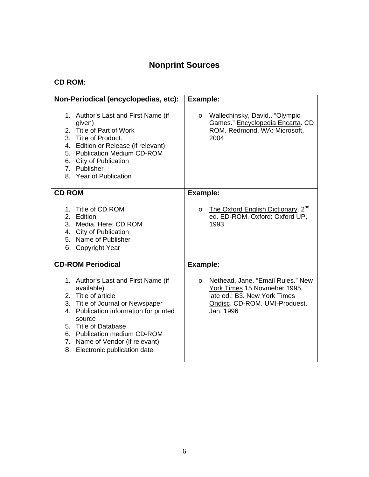# **Nonprint Sources**

# **CD ROM:**

| Non-Periodical (encyclopedias, etc):                                                                                                                                                                                                                                                          | <b>Example:</b>                                                                                                                                            |
|-----------------------------------------------------------------------------------------------------------------------------------------------------------------------------------------------------------------------------------------------------------------------------------------------|------------------------------------------------------------------------------------------------------------------------------------------------------------|
| 1. Author's Last and First Name (if<br>given)<br>2. Title of Part of Work<br>3. Title of Product.<br>4. Edition or Release (if relevant)<br>5. Publication Medium CD-ROM<br>6. City of Publication<br>7. Publisher<br>8. Year of Publication                                                  | Wallechinsky, David "Olympic<br>$\circ$<br>Games." Encyclopedia Encarta. CD<br>ROM. Redmond, WA: Microsoft,<br>2004                                        |
| <b>CD ROM</b>                                                                                                                                                                                                                                                                                 | Example:                                                                                                                                                   |
| 1. Title of CD ROM<br>2. Edition<br>3. Media. Here: CD ROM<br>4. City of Publication<br>5. Name of Publisher<br>6. Copyright Year                                                                                                                                                             | The Oxford English Dictionary. 2 <sup>nd</sup><br>$\circ$<br>ed. ED-ROM. Oxford: Oxford UP,<br>1993                                                        |
| <b>CD-ROM Periodical</b>                                                                                                                                                                                                                                                                      | <b>Example:</b>                                                                                                                                            |
| 1. Author's Last and First Name (if<br>available)<br>2. Title of article<br>3. Title of Journal or Newspaper<br>4. Publication information for printed<br>source<br>5. Title of Database<br>6. Publication medium CD-ROM<br>7. Name of Vendor (if relevant)<br>8. Electronic publication date | Nethead, Jane. "Email Rules." New<br>$\circ$<br>York Times 15 Novmeber 1995,<br>late ed.: B3. New York Times<br>Ondisc. CD-ROM. UMI-Proquest.<br>Jan. 1996 |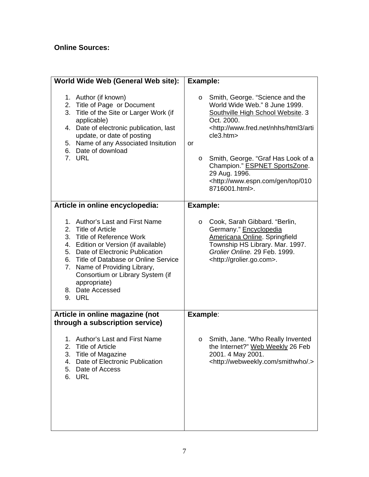# **Online Sources:**

| World Wide Web (General Web site):                                                                                                                                                                                                                                                                                             | Example:                                                                                                                                                                                                                                                                                                                                                                                                               |
|--------------------------------------------------------------------------------------------------------------------------------------------------------------------------------------------------------------------------------------------------------------------------------------------------------------------------------|------------------------------------------------------------------------------------------------------------------------------------------------------------------------------------------------------------------------------------------------------------------------------------------------------------------------------------------------------------------------------------------------------------------------|
| 1. Author (if known)<br>2. Title of Page or Document<br>3. Title of the Site or Larger Work (if<br>applicable)<br>4. Date of electronic publication, last<br>update, or date of posting<br>5. Name of any Associated Insitution<br>6. Date of download<br>7. URL                                                               | Smith, George. "Science and the<br>$\circ$<br>World Wide Web." 8 June 1999.<br>Southville High School Website. 3<br>Oct. 2000.<br><http: arti<br="" html3="" nhhs="" www.fred.net="">cle3.htm&gt;<br/><b>or</b><br/>Smith, George. "Graf Has Look of a<br/><math>\circ</math><br/>Champion." ESPNET SportsZone.<br/>29 Aug. 1996.<br/><http: 010<br="" gen="" top="" www.espn.com="">8716001.html&gt;.</http:></http:> |
| Article in online encyclopedia:                                                                                                                                                                                                                                                                                                | Example:                                                                                                                                                                                                                                                                                                                                                                                                               |
| 1. Author's Last and First Name<br>2. Title of Article<br>3. Title of Reference Work<br>4. Edition or Version (if available)<br>5. Date of Electronic Publication<br>6. Title of Database or Online Service<br>7. Name of Providing Library,<br>Consortium or Library System (if<br>appropriate)<br>8. Date Accessed<br>9. URL | Cook, Sarah Gibbard. "Berlin,<br>O<br>Germany." Encyclopedia<br><b>Americana Online. Springfield</b><br>Township HS Library. Mar. 1997.<br>Grolier Online. 29 Feb. 1999.<br><http: grolier.go.com="">.</http:>                                                                                                                                                                                                         |
| Article in online magazine (not<br>through a subscription service)                                                                                                                                                                                                                                                             | Example:                                                                                                                                                                                                                                                                                                                                                                                                               |
| 1. Author's Last and First Name<br>2. Title of Article<br>3. Title of Magazine<br>4. Date of Electronic Publication<br>5. Date of Access<br>6. URL                                                                                                                                                                             | Smith, Jane. "Who Really Invented<br>O<br>the Internet?" Web Weekly 26 Feb<br>2001. 4 May 2001.<br><http: .="" smithwho="" webweekly.com=""></http:>                                                                                                                                                                                                                                                                   |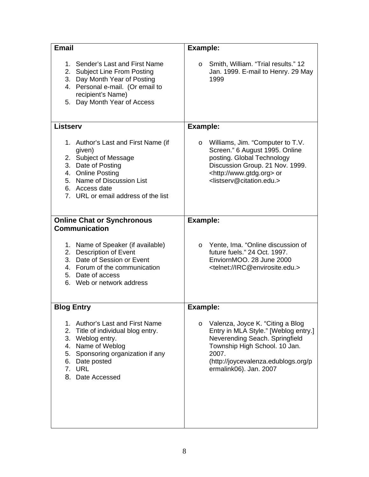| <b>Email</b>                                                                                                                                                                                                 | <b>Example:</b>                                                                                                                                                                                                                            |
|--------------------------------------------------------------------------------------------------------------------------------------------------------------------------------------------------------------|--------------------------------------------------------------------------------------------------------------------------------------------------------------------------------------------------------------------------------------------|
| 1. Sender's Last and First Name<br>2. Subject Line From Posting<br>3. Day Month Year of Posting<br>4. Personal e-mail. (Or email to<br>recipient's Name)<br>5. Day Month Year of Access                      | Smith, William. "Trial results." 12<br>$\circ$<br>Jan. 1999. E-mail to Henry. 29 May<br>1999                                                                                                                                               |
| <b>Listserv</b>                                                                                                                                                                                              | Example:                                                                                                                                                                                                                                   |
| 1. Author's Last and First Name (if<br>given)<br>2. Subject of Message<br>3. Date of Posting<br>4. Online Posting<br>5. Name of Discussion List<br>6. Access date<br>7. URL or email address of the list     | Williams, Jim. "Computer to T.V.<br>$\circ$<br>Screen." 6 August 1995. Online<br>posting. Global Technology<br>Discussion Group. 21 Nov. 1999.<br><http: www.gtdg.org=""> or<br/><listserv@citation.edu.></listserv@citation.edu.></http:> |
| <b>Online Chat or Synchronous</b>                                                                                                                                                                            | <b>Example:</b>                                                                                                                                                                                                                            |
| <b>Communication</b><br>1. Name of Speaker (if available)<br>2. Description of Event<br>3. Date of Session or Event<br>4. Forum of the communication<br>5. Date of access<br>6. Web or network address       | Yente, Ima. "Online discussion of<br>$\circ$<br>future fuels." 24 Oct. 1997.<br>EnviornMOO. 28 June 2000<br><telnet: irc@envirosite.edu.=""></telnet:>                                                                                     |
| <b>Blog Entry</b>                                                                                                                                                                                            | Example:                                                                                                                                                                                                                                   |
| 1. Author's Last and First Name<br>2.<br>Title of individual blog entry.<br>3. Weblog entry.<br>4. Name of Weblog<br>Sponsoring organization if any<br>5.<br>Date posted<br>6.<br>7. URL<br>8. Date Accessed | Valenza, Joyce K. "Citing a Blog<br>$\circ$<br>Entry in MLA Style." [Weblog entry.]<br>Neverending Seach. Springfield<br>Township High School. 10 Jan.<br>2007.<br>(http://joycevalenza.edublogs.org/p<br>ermalink06). Jan. 2007           |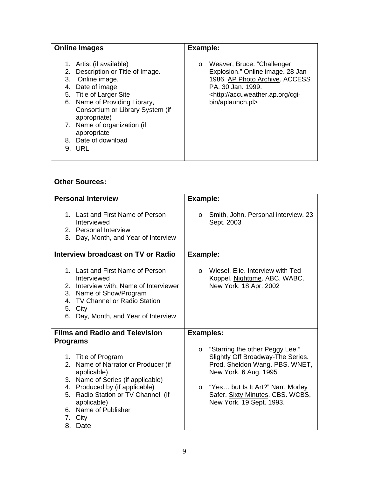| <b>Online Images</b>                                                                                                                                                                                                        | Example:                                                                                                                                                                                          |
|-----------------------------------------------------------------------------------------------------------------------------------------------------------------------------------------------------------------------------|---------------------------------------------------------------------------------------------------------------------------------------------------------------------------------------------------|
| Artist (if available)<br>Description or Title of Image.<br>2.<br>Online image.<br>3.<br>Date of image<br>4.<br>5. Title of Larger Site<br>6. Name of Providing Library,<br>Consortium or Library System (if<br>appropriate) | Weaver, Bruce. "Challenger<br>O<br>Explosion." Online image. 28 Jan<br>1986. AP Photo Archive. ACCESS<br>PA. 30 Jan. 1999.<br><http: accuweather.ap.org="" cgi-<br="">bin/aplaunch.pl&gt;</http:> |
| 7. Name of organization (if<br>appropriate                                                                                                                                                                                  |                                                                                                                                                                                                   |
| 8. Date of download                                                                                                                                                                                                         |                                                                                                                                                                                                   |
| 9. URL                                                                                                                                                                                                                      |                                                                                                                                                                                                   |

#### **Other Sources:**

| <b>Personal Interview</b>                                                                                                                                                                                                                           | Example:                                                                                                                                                                                                                                                   |
|-----------------------------------------------------------------------------------------------------------------------------------------------------------------------------------------------------------------------------------------------------|------------------------------------------------------------------------------------------------------------------------------------------------------------------------------------------------------------------------------------------------------------|
| 1. Last and First Name of Person<br>Interviewed<br>2. Personal Interview<br>3. Day, Month, and Year of Interview                                                                                                                                    | Smith, John. Personal interview. 23<br>$\circ$<br>Sept. 2003                                                                                                                                                                                               |
| Interview broadcast on TV or Radio                                                                                                                                                                                                                  | Example:                                                                                                                                                                                                                                                   |
| 1. Last and First Name of Person<br>Interviewed<br>2. Interview with, Name of Interviewer<br>3. Name of Show/Program<br>4. TV Channel or Radio Station<br>5. City<br>6.<br>Day, Month, and Year of Interview                                        | Wiesel, Elie. Interview with Ted<br>$\circ$<br>Koppel. Nighttime. ABC. WABC.<br>New York: 18 Apr. 2002                                                                                                                                                     |
| <b>Films and Radio and Television</b>                                                                                                                                                                                                               | <b>Examples:</b>                                                                                                                                                                                                                                           |
| <b>Programs</b>                                                                                                                                                                                                                                     |                                                                                                                                                                                                                                                            |
| 1. Title of Program<br>2. Name of Narrator or Producer (if<br>applicable)<br>3. Name of Series (if applicable)<br>4. Produced by (if applicable)<br>5. Radio Station or TV Channel (if<br>applicable)<br>6. Name of Publisher<br>7. City<br>8. Date | "Starring the other Peggy Lee."<br>$\circ$<br>Slightly Off Broadway-The Series.<br>Prod. Sheldon Wang. PBS. WNET,<br>New York. 6 Aug. 1995<br>"Yes but Is It Art?" Narr. Morley<br>$\circ$<br>Safer. Sixty Minutes. CBS. WCBS,<br>New York. 19 Sept. 1993. |